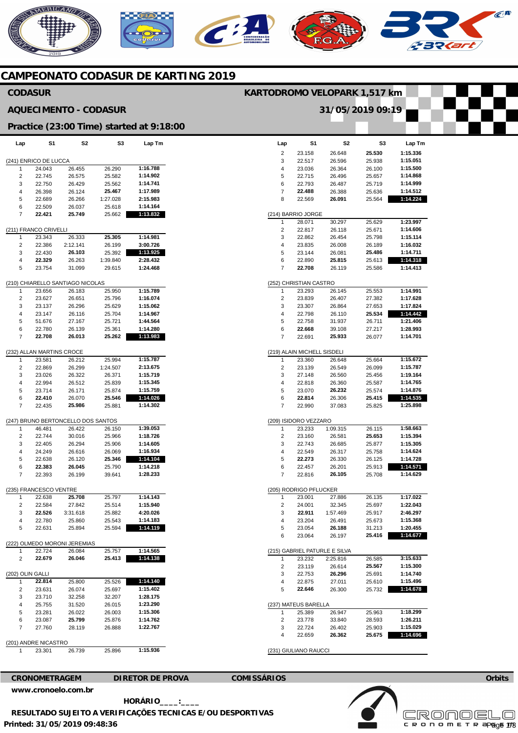# **MERICANO**  $\widehat{C}^{\text{A}}$

**CAMPEONATO CODASUR DE KARTING 2019** 

#### **Lap**  2  $\overline{3}$ 4 5 6 7 8 (214) BARRIO JORGE 1 2 3 4 5 6 7 (252) CHRISTIAN CASTRO 1  $\overline{2}$ 3 4 5 6 7 (219) ALAIN MICHELL SISDELI 1 2 3 4 5 6 7 (209) ISIDORO VEZZARO 1  $\overline{2}$ 3 4 5 6 7 (205) RODRIGO PFLUCKER  $\overline{1}$  $\overline{2}$ 3 4 5 6 (215) GABRIEL PATURLE E SILVA 1 2 3 4 5 (237) MATEUS BARELLA  $\overline{1}$ 2 3 4 (231) GIULIANO RAUCCI **S1**  23.158 22.517 23.036 22.715 22.793 **22.488**  22.569 28.071 22.817 22.862 23.835 23.144 22.890 **22.708**  23.293 23.839 23.307 22.798 22.758 **22.668**  22.691 23.360 23.139 27.148 22.818 23.070 **22.814**  22.990 23.233 23.160 22.743 22.549 **22.273**  22.457 22.816 23.001 24.001 **22.911**  23.204 23.054 23.064 23.232 23.119 22.753 22.875 **22.646**  25.389 23.778 22.724 22.659 **S2**  26.648 26.596 26.364 26.496 26.487 26.388 **26.091**  30.297 26.118 26.454 26.008 26.081 **25.815**  26.119 26.145 26.407 26.864 26.110 31.937 39.108 **25.933**  26.648 26.549 26.560 26.360 **26.232**  26.306 37.083 1:09.315 26.581 26.685 26.317 26.330 26.201 **26.105**  27.886 32.345 1:57.469 26.491 **26.188**  26.197 2:25.816 26.614 **26.296**  27.011 26.300 26.947 33.840 26.402 **26.362 S3 25.530**  25.938 26.100 25.657 25.719 25.636 25.564 25.629 25.671 25.798 26.189 **25.486**  25.613 25.586 25.553 27.382 27.653 **25.534**  26.711 27.217 26.077 25.664 26.099 25.456 25.587 25.574 **25.415**  25.825 26.115 **25.653**  25.877 25.758 26.125 25.913 25.708 26.135 25.697 25.917 25.673 31.213 **25.416**  26.585 **25.567**  25.691 25.610 25.732 25.963 28.593 25.903 **25.675 Lap Tm 1:15.336 1:15.051 1:15.500 1:14.868 1:14.999 1:14.512 1:14.224 1:23.997 1:14.606 1:15.114 1:16.032 1:14.711 1:14.318 1:14.413 1:14.991 1:17.628 1:17.824 1:14.442 1:21.406 1:28.993 1:14.701 1:15.672 1:15.787 1:19.164 1:14.765 1:14.876 1:14.535 1:25.898 1:58.663 1:15.394 1:15.305 1:14.624 1:14.728 1:14.571 1:14.629 1:17.022 1:22.043 2:46.297 1:15.368 1:20.455 1:14.677 3:15.633 1:15.300 1:14.740 1:15.496 1:14.678 1:18.299 1:26.211 1:15.029 1:14.696 Lap**  (241) ENRICO DE LUCCA 1 2 3 4 5 6 7 (211) FRANCO CRIVELLI 1  $\overline{2}$ 3 4 5 (210) CHIARELLO SANTIAGO NICOLAS 1  $\overline{2}$ 3 4 5 6 7 (232) ALLAN MARTINS CROCE 1 2 3 4 5 6 7 (247) BRUNO BERTONCELLO DOS SANTOS 1  $\overline{2}$ 3 4 5 6 7 (235) FRANCESCO VENTRE 1  $\overline{2}$ 3 4 5 (222) OLMEDO MORONI JEREMIAS 1  $\overline{2}$ (202) OLIN GALLI 1  $\overline{2}$ 3 4 5 6 7 (201) ANDRE NICASTRO 1 **S1**  24.043 22.745 22.750 26.398 22.689 22.509 **22.421**  23.343 22.386 22.430 **22.329**  23.754 23.656 23.627 23.137 23.147 51.676 22.780 **22.708**  23.581 22.869 23.026 22.994 23.714 **22.410**  22.435 46.481 22.744 22.405 24.249 22.638 **22.383**  22.393 22.638 22.584 **22.526**  22.780 22.631 22.724 **22.679 22.814**  23.631 23.710 25.755 23.281 23.087 27.760 23.301 **S2**  26.455 26.575 26.429 26.124 26.266 26.037 **25.749**  26.333 2:12.141 **26.103**  26.263 31.099 26.183 26.651 26.296 26.116 27.167 26.139 **26.013**  26.212 26.299 26.322 26.512 26.171 26.070 **25.986**  26.422 30.016 26.294 26.616 26.120 **26.045**  26.199 **25.708**  27.842 3:31.618 25.860 25.894 26.084 **26.046**  25.800 26.074 32.258 31.520 26.022 **25.799**  28.119 26.739 **S3**  26.290 25.582 25.562 **25.467**  1:27.028 25.618 25.662 **25.305**  26.199 25.392 1:39.840 29.615 25.950 25.796 25.629 25.704 25.721 25.361 **25.262**  25.994 1:24.507 26.371 25.839 25.874 **25.546**  25.881 26.150 25.966 25.906 26.069 **25.346**  25.790 39.641 25.797 25.514 25.882 25.543 25.594 25.757 **25.413**  25.526 25.697 32.207 26.015 26.003 25.876 26.888 25.896 **Lap Tm 1:16.788 1:14.902 1:14.741 1:17.989 2:15.983 1:14.164 1:13.832 1:14.981 3:00.726 1:13.925 2:28.432 1:24.468 1:15.789 1:16.074 1:15.062 1:14.967 1:44.564 1:14.280 1:13.983 1:15.787 2:13.675 1:15.719 1:15.345 1:15.759 1:14.026 1:14.302 1:39.053 1:18.726 1:14.605 1:16.934 1:14.104 1:14.218 1:28.233 1:14.143 1:15.940 4:20.026 1:14.183 1:14.119 1:14.565 1:14.138 1:14.140 1:15.402 1:28.175 1:23.290 1:15.306 1:14.762 1:22.767 1:15.936 CRONOMETRAGEM DIRETOR DE PROVA COMISSÁRIOS [www.cronoelo.com.br](http://www.cronoelo.com.br) CODASUR AQUECIMENTO - CODASUR Practice (23:00 Time) started at 9:18:00 KARTODROMO VELOPARK 1,517 km 31/05/2019 09:19**

**Printed: 31/05/2019 09:48:36 HORÁRIO\_\_\_\_:\_\_\_\_ RESULTADO SUJEITO A VERIFICAÇÕES TECNICAS E/OU DESPORTIVAS**  **Orbits** 

**Licensed to: Cronoelo**  c R O N O M E T R apg<sub>o</sub>e 173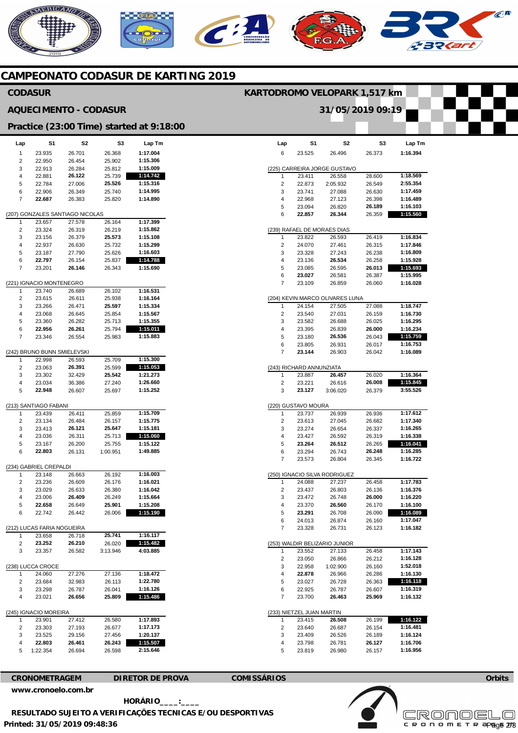# **AERICANO**  $\mathcal{C}^{\mathbf{R}}$ C **232 CAMPEONATO CODASUR DE KARTING 2019**

|                         | <b>CODASUR</b>                        |                                 |                              |                                          | KARTODROMO VELOPARK 1,517 km     |                                     |                                           |                  |                      |  |
|-------------------------|---------------------------------------|---------------------------------|------------------------------|------------------------------------------|----------------------------------|-------------------------------------|-------------------------------------------|------------------|----------------------|--|
|                         |                                       |                                 | <b>AQUECIMENTO - CODASUR</b> |                                          | 31/05/2019 09:19                 |                                     |                                           |                  |                      |  |
|                         |                                       |                                 |                              | Practice (23:00 Time) started at 9:18:00 |                                  |                                     |                                           |                  |                      |  |
| Lap                     | S1                                    | S <sub>2</sub>                  | S3                           | Lap Tm                                   | Lap                              | S <sub>1</sub>                      | S <sub>2</sub>                            | S3               | Lap Tm               |  |
| $\mathbf{1}$            | 23.935                                | 26.701                          | 26.368                       | 1:17.004                                 | 6                                | 23.525                              | 26.496                                    | 26.373           | 1:16.394             |  |
| 2<br>3                  | 22.950<br>22.913                      | 26.454<br>26.284                | 25.902<br>25.812             | 1:15.306<br>1:15.009                     |                                  |                                     | (225) CARREIRA JORGE GUSTAVO              |                  |                      |  |
| 4                       | 22.881                                | 26.122                          | 25.739                       | 1:14.742                                 | 1                                | 23.411                              | 26.558                                    | 28.600           | 1:18.569             |  |
| 5                       | 22.784                                | 27.006                          | 25.526                       | 1:15.316                                 | $\overline{2}$                   | 22.873                              | 2:05.932                                  | 26.549           | 2:55.354             |  |
| 6                       | 22.906                                | 26.349                          | 25.740                       | 1:14.995                                 | 3                                | 23.741                              | 27.088                                    | 26.630           | 1:17.459             |  |
| $\overline{7}$          | 22.687                                | 26.383                          | 25.820                       | 1:14.890                                 | 4                                | 22.968                              | 27.123                                    | 26.398           | 1:16.489             |  |
|                         |                                       | (207) GONZALES SANTIAGO NICOLAS |                              |                                          | 5<br>6                           | 23.094<br>22.857                    | 26.820<br>26.344                          | 26.189<br>26.359 | 1:16.103<br>1:15.560 |  |
| 1                       | 23.657                                | 27.578                          | 26.164                       | 1:17.399                                 |                                  |                                     |                                           |                  |                      |  |
| $\overline{\mathbf{c}}$ | 23.324                                | 26.319                          | 26.219                       | 1:15.862                                 |                                  |                                     | (239) RAFAEL DE MORAES DIAS               |                  |                      |  |
| 3                       | 23.156                                | 26.379                          | 25.573                       | 1:15.108                                 | $\mathbf{1}$                     | 23.822                              | 26.593                                    | 26.419           | 1:16.834             |  |
| 4                       | 22.937                                | 26.630                          | 25.732                       | 1:15.299                                 | $\overline{2}$                   | 24.070                              | 27.461                                    | 26.315           | 1:17.846             |  |
| 5<br>6                  | 23.187<br>22.797                      | 27.790<br>26.154                | 25.626<br>25.837             | 1:16.603<br>1:14.788                     | 3<br>4                           | 23.328<br>23.136                    | 27.243<br>26.534                          | 26.238<br>26.258 | 1:16.809<br>1:15.928 |  |
| $\overline{7}$          | 23.201                                | 26.146                          | 26.343                       | 1:15.690                                 | 5                                | 23.085                              | 26.595                                    | 26.013           | 1:15.693             |  |
|                         |                                       |                                 |                              |                                          | 6                                | 23.027                              | 26.581                                    | 26.387           | 1:15.995             |  |
|                         | (221) IGNACIO MONTENEGRO              |                                 |                              |                                          | $\overline{7}$                   | 23.109                              | 26.859                                    | 26.060           | 1:16.028             |  |
| 1                       | 23.740                                | 26.689                          | 26.102                       | 1:16.531                                 |                                  |                                     |                                           |                  |                      |  |
| $\mathbf 2$<br>3        | 23.615<br>23.266                      | 26.611<br>26.471                | 25.938<br>25.597             | 1:16.164<br>1:15.334                     | $\mathbf{1}$                     | 24.154                              | (204) KEVIN MARCO OLIVARES LUNA<br>27.505 | 27.088           | 1:18.747             |  |
| 4                       | 23.068                                | 26.645                          | 25.854                       | 1:15.567                                 | 2                                | 23.540                              | 27.031                                    | 26.159           | 1:16.730             |  |
| 5                       | 23.360                                | 26.282                          | 25.713                       | 1:15.355                                 | 3                                | 23.582                              | 26.688                                    | 26.025           | 1:16.295             |  |
| 6                       | 22.956                                | 26.261                          | 25.794                       | 1:15.011                                 | 4                                | 23.395                              | 26.839                                    | 26.000           | 1:16.234             |  |
| $\overline{7}$          | 23.346                                | 26.554                          | 25.983                       | 1:15.883                                 | 5                                | 23.180                              | 26.536                                    | 26.043           | 1:15.759             |  |
|                         |                                       |                                 |                              |                                          | 6<br>$\overline{7}$              | 23.805                              | 26.931                                    | 26.017           | 1:16.753             |  |
| 1                       | (242) BRUNO BUNN SMIELEVSKI<br>22.998 | 26.593                          | 25.709                       | 1:15.300                                 |                                  | 23.144                              | 26.903                                    | 26.042           | 1:16.089             |  |
| 2                       | 23.063                                | 26.391                          | 25.599                       | 1:15.053                                 |                                  | (243) RICHARD ANNUNZIATA            |                                           |                  |                      |  |
| 3                       | 23.302                                | 32.429                          | 25.542                       | 1:21.273                                 | 1                                | 23.887                              | 26.457                                    | 26.020           | 1:16.364             |  |
| 4                       | 23.034                                | 36.386                          | 27.240                       | 1:26.660                                 | $\overline{\mathbf{c}}$          | 23.221                              | 26.616                                    | 26.008           | 1:15.845             |  |
| 5                       | 22.948                                | 26.607                          | 25.697                       | 1:15.252                                 | 3                                | 23.127                              | 3:06.020                                  | 26.379           | 3:55.526             |  |
|                         | (213) SANTIAGO FABANI                 |                                 |                              |                                          |                                  | (220) GUSTAVO MOURA                 |                                           |                  |                      |  |
| 1                       | 23.439                                | 26.411                          | 25.859                       | 1:15.709                                 | $\mathbf{1}$                     | 23.737                              | 26.939                                    | 26.936           | 1:17.612             |  |
| 2                       | 23.134                                | 26.484                          | 26.157                       | 1:15.775                                 | $\overline{2}$                   | 23.613                              | 27.045                                    | 26.682           | 1:17.340             |  |
| 3                       | 23.413                                | 26.121                          | 25.647                       | 1:15.181                                 | 3                                | 23.274                              | 26.654                                    | 26.337           | 1:16.265             |  |
| 4<br>5                  | 23.036<br>23.167                      | 26.311<br>26.200                | 25.713<br>25.755             | 1:15.060<br>1:15.122                     | 4<br>$\,$ 5 $\,$                 | 23.427<br>23.264                    | 26.592<br>26.512                          | 26.319<br>26.265 | 1:16.338<br>1:16.041 |  |
| 6                       | 22.803                                | 26.131                          | 1:00.951                     | 1:49.885                                 | 6                                | 23.294                              | 26.743                                    | 26.248           | 1:16.285             |  |
|                         |                                       |                                 |                              |                                          | $\overline{7}$                   | 23.573                              | 26.804                                    | 26.345           | 1:16.722             |  |
|                         | (234) GABRIEL CREPALDI                |                                 |                              |                                          |                                  |                                     |                                           |                  |                      |  |
| $\mathbf{1}$            | 23.148                                | 26.663                          | 26.192                       | 1:16.003                                 |                                  |                                     | (250) IGNACIO SILVA RODRIGUEZ             |                  |                      |  |
| 2<br>3                  | 23.236<br>23.029                      | 26.609<br>26.633                | 26.176<br>26.380             | 1:16.021<br>1:16.042                     | $\overline{1}$<br>$\overline{2}$ | 24.088<br>23.437                    | 27.237<br>26.803                          | 26.458<br>26.136 | 1:17.783<br>1:16.376 |  |
| 4                       | 23.006                                | 26.409                          | 26.249                       | 1:15.664                                 | 3                                | 23.472                              | 26.748                                    | 26.000           | 1:16.220             |  |
| 5                       | 22.658                                | 26.649                          | 25.901                       | 1:15.208                                 | 4                                | 23.370                              | 26.560                                    | 26.170           | 1:16.100             |  |
| 6                       | 22.742                                | 26.442                          | 26.006                       | 1:15.190                                 | $\,$ 5 $\,$                      | 23.291                              | 26.708                                    | 26.090           | 1:16.089             |  |
|                         | (212) LUCAS FARIA NOGUEIRA            |                                 |                              |                                          | 6<br>$\overline{7}$              | 24.013<br>23.328                    | 26.874<br>26.731                          | 26.160<br>26.123 | 1:17.047<br>1:16.182 |  |
| $\mathbf{1}$            | 23.658                                | 26.718                          | 25.741                       | 1:16.117                                 |                                  |                                     |                                           |                  |                      |  |
| 2                       | 23.252                                | 26.210                          | 26.020                       | 1:15.482                                 |                                  |                                     | (253) WALDIR BELIZARIO JUNIOR             |                  |                      |  |
| 3                       | 23.357                                | 26.582                          | 3:13.946                     | 4:03.885                                 | $\mathbf 1$                      | 23.552                              | 27.133                                    | 26.458           | 1:17.143             |  |
|                         |                                       |                                 |                              |                                          | $\sqrt{2}$                       | 23.050                              | 26.866                                    | 26.212           | 1:16.128             |  |
|                         | (238) LUCCA CROCE                     |                                 |                              |                                          | 3                                | 22.958                              | 1:02.900                                  | 26.160           | 1:52.018             |  |
| 1<br>2                  | 24.060<br>23.684                      | 27.276<br>32.983                | 27.136<br>26.113             | 1:18.472<br>1:22.780                     | 4<br>5                           | 22.878<br>23.027                    | 26.966<br>26.728                          | 26.286<br>26.363 | 1:16.130<br>1:16.118 |  |
| 3                       | 23.298                                | 26.787                          | 26.041                       | 1:16.126                                 | 6                                | 22.925                              | 26.787                                    | 26.607           | 1:16.319             |  |
| 4                       | 23.021                                | 26.656                          | 25.809                       | 1:15.486                                 | $\overline{7}$                   | 23.700                              | 26.463                                    | 25.969           | 1:16.132             |  |
|                         |                                       |                                 |                              |                                          |                                  |                                     |                                           |                  |                      |  |
| 1                       | (245) IGNACIO MOREIRA<br>23.901       | 27.412                          | 26.580                       | 1:17.893                                 | -1                               | (233) NIETZEL JUAN MARTIN<br>23.415 | 26.508                                    | 26.199           | 1:16.122             |  |
| $\overline{\mathbf{c}}$ | 23.303                                | 27.193                          | 26.677                       | 1:17.173                                 | $\overline{c}$                   | 23.640                              | 26.687                                    | 26.154           | 1:16.481             |  |
| 3                       | 23.525                                | 29.156                          | 27.456                       | 1:20.137                                 | 3                                | 23.409                              | 26.526                                    | 26.189           | 1:16.124             |  |
| 4                       | 22.803                                | 26.461                          | 26.243                       | 1:15.507                                 | 4                                | 23.798                              | 26.781                                    | 26.127           | 1:16.706             |  |
| 5                       | 1:22.354                              | 26.694                          | 26.598                       | 2:15.646                                 | 5                                | 23.819                              | 26.980                                    | 26.157           | 1:16.956             |  |
|                         |                                       |                                 |                              |                                          |                                  |                                     |                                           |                  |                      |  |

**CRONOMETRAGEM DIRETOR DE PROVA COMISSÁRIOS [www.cronoelo.com.br](http://www.cronoelo.com.br)** 



**The Contract State** 

**Printed: 31/05/2019 09:48:36 HORÁRIO\_\_\_\_:\_\_\_\_ RESULTADO SUJEITO A VERIFICAÇÕES TECNICAS E/OU DESPORTIVAS**